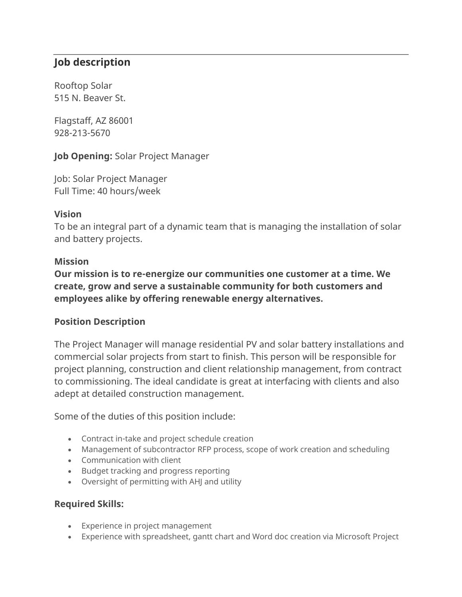# **Job description**

Rooftop Solar 515 N. Beaver St.

Flagstaff, AZ 86001 928-213-5670

**Job Opening:** Solar Project Manager

Job: Solar Project Manager Full Time: 40 hours/week

### **Vision**

To be an integral part of a dynamic team that is managing the installation of solar and battery projects.

#### **Mission**

**Our mission is to re-energize our communities one customer at a time. We create, grow and serve a sustainable community for both customers and employees alike by offering renewable energy alternatives.**

## **Position Description**

The Project Manager will manage residential PV and solar battery installations and commercial solar projects from start to finish. This person will be responsible for project planning, construction and client relationship management, from contract to commissioning. The ideal candidate is great at interfacing with clients and also adept at detailed construction management.

Some of the duties of this position include:

- Contract in-take and project schedule creation
- Management of subcontractor RFP process, scope of work creation and scheduling
- Communication with client
- Budget tracking and progress reporting
- Oversight of permitting with AHJ and utility

## **Required Skills:**

- Experience in project management
- Experience with spreadsheet, gantt chart and Word doc creation via Microsoft Project